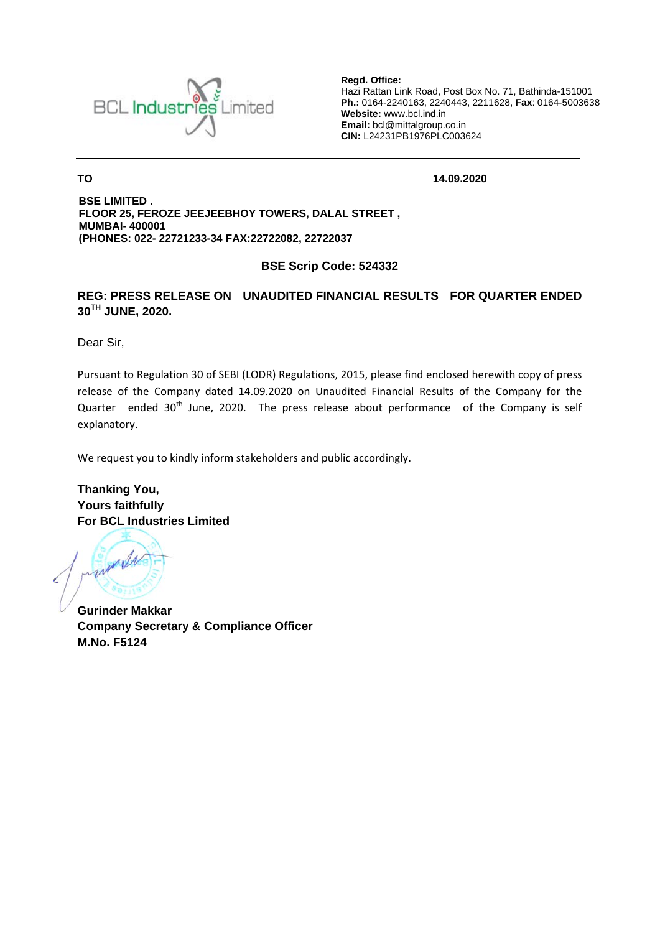

Regd. Office: Hazi Rattan Link Road, Post Box No. 71, Bathinda-151001 Ph.: 0164-2240163, 2240443, 2211628, Fax: 0164-5003638 Website: www.bcl.ind.in Email: bcl@mittalgroup.co.in CIN: L24231PB1976PLC003624

14.09.2020

**BSE LIMITED.** FLOOR 25, FEROZE JEEJEEBHOY TOWERS, DALAL STREET, **MUMBAI-400001** (PHONES: 022-22721233-34 FAX:22722082. 22722037

**BSE Scrip Code: 524332** 

## REG: PRESS RELEASE ON UNAUDITED FINANCIAL RESULTS FOR QUARTER ENDED 30TH JUNE, 2020.

Dear Sir.

**TO** 

Pursuant to Regulation 30 of SEBI (LODR) Regulations, 2015, please find enclosed herewith copy of press release of the Company dated 14.09.2020 on Unaudited Financial Results of the Company for the Quarter ended 30<sup>th</sup> June, 2020. The press release about performance of the Company is self explanatory.

We request you to kindly inform stakeholders and public accordingly.

**Thanking You, Yours faithfully For BCL Industries Limited** 

words

**Gurinder Makkar Company Secretary & Compliance Officer M.No. F5124**